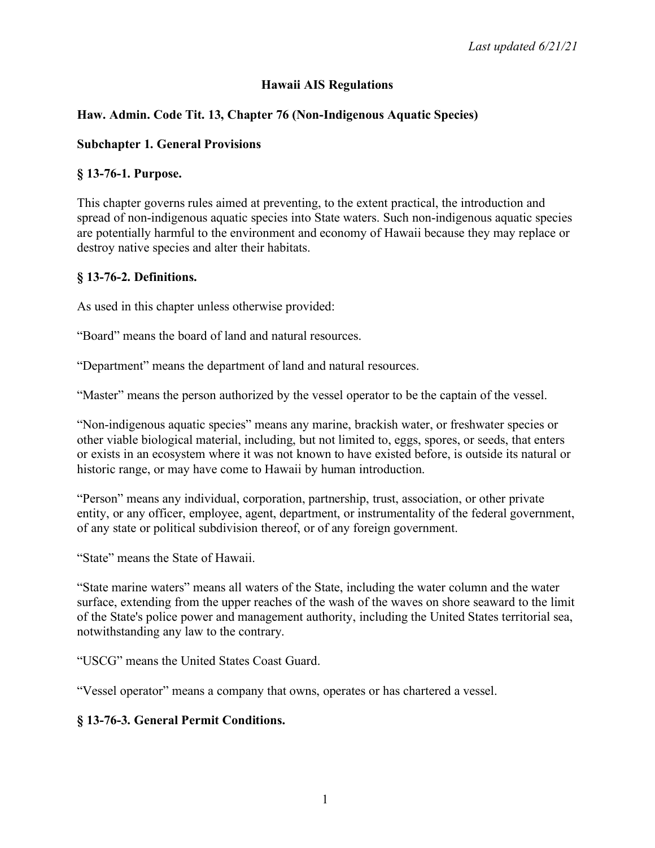## **Hawaii AIS Regulations**

## **Haw. Admin. Code Tit. 13, Chapter 76 (Non-Indigenous Aquatic Species)**

### **Subchapter 1. General Provisions**

### **§ 13-76-1. Purpose.**

This chapter governs rules aimed at preventing, to the extent practical, the introduction and spread of non-indigenous aquatic species into State waters. Such non-indigenous aquatic species are potentially harmful to the environment and economy of Hawaii because they may replace or destroy native species and alter their habitats.

#### **§ 13-76-2. Definitions.**

As used in this chapter unless otherwise provided:

"Board" means the board of land and natural resources.

"Department" means the department of land and natural resources.

"Master" means the person authorized by the vessel operator to be the captain of the vessel.

"Non-indigenous aquatic species" means any marine, brackish water, or freshwater species or other viable biological material, including, but not limited to, eggs, spores, or seeds, that enters or exists in an ecosystem where it was not known to have existed before, is outside its natural or historic range, or may have come to Hawaii by human introduction.

"Person" means any individual, corporation, partnership, trust, association, or other private entity, or any officer, employee, agent, department, or instrumentality of the federal government, of any state or political subdivision thereof, or of any foreign government.

"State" means the State of Hawaii.

"State marine waters" means all waters of the State, including the water column and the water surface, extending from the upper reaches of the wash of the waves on shore seaward to the limit of the State's police power and management authority, including the United States territorial sea, notwithstanding any law to the contrary.

"USCG" means the United States Coast Guard.

"Vessel operator" means a company that owns, operates or has chartered a vessel.

## **§ 13-76-3. General Permit Conditions.**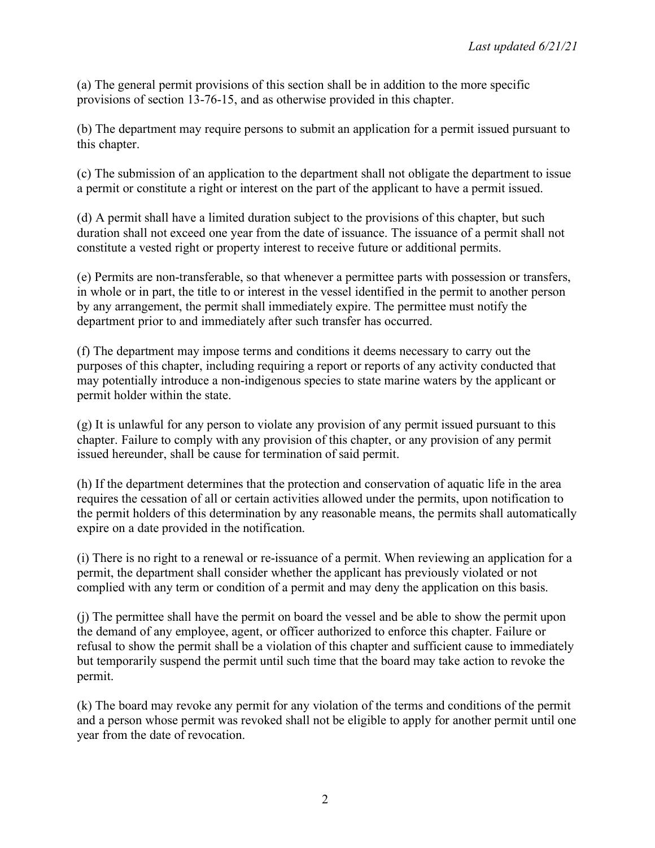(a) The general permit provisions of this section shall be in addition to the more specific provisions of section 13-76-15, and as otherwise provided in this chapter.

(b) The department may require persons to submit an application for a permit issued pursuant to this chapter.

(c) The submission of an application to the department shall not obligate the department to issue a permit or constitute a right or interest on the part of the applicant to have a permit issued.

(d) A permit shall have a limited duration subject to the provisions of this chapter, but such duration shall not exceed one year from the date of issuance. The issuance of a permit shall not constitute a vested right or property interest to receive future or additional permits.

(e) Permits are non-transferable, so that whenever a permittee parts with possession or transfers, in whole or in part, the title to or interest in the vessel identified in the permit to another person by any arrangement, the permit shall immediately expire. The permittee must notify the department prior to and immediately after such transfer has occurred.

(f) The department may impose terms and conditions it deems necessary to carry out the purposes of this chapter, including requiring a report or reports of any activity conducted that may potentially introduce a non-indigenous species to state marine waters by the applicant or permit holder within the state.

(g) It is unlawful for any person to violate any provision of any permit issued pursuant to this chapter. Failure to comply with any provision of this chapter, or any provision of any permit issued hereunder, shall be cause for termination of said permit.

(h) If the department determines that the protection and conservation of aquatic life in the area requires the cessation of all or certain activities allowed under the permits, upon notification to the permit holders of this determination by any reasonable means, the permits shall automatically expire on a date provided in the notification.

(i) There is no right to a renewal or re-issuance of a permit. When reviewing an application for a permit, the department shall consider whether the applicant has previously violated or not complied with any term or condition of a permit and may deny the application on this basis.

(j) The permittee shall have the permit on board the vessel and be able to show the permit upon the demand of any employee, agent, or officer authorized to enforce this chapter. Failure or refusal to show the permit shall be a violation of this chapter and sufficient cause to immediately but temporarily suspend the permit until such time that the board may take action to revoke the permit.

(k) The board may revoke any permit for any violation of the terms and conditions of the permit and a person whose permit was revoked shall not be eligible to apply for another permit until one year from the date of revocation.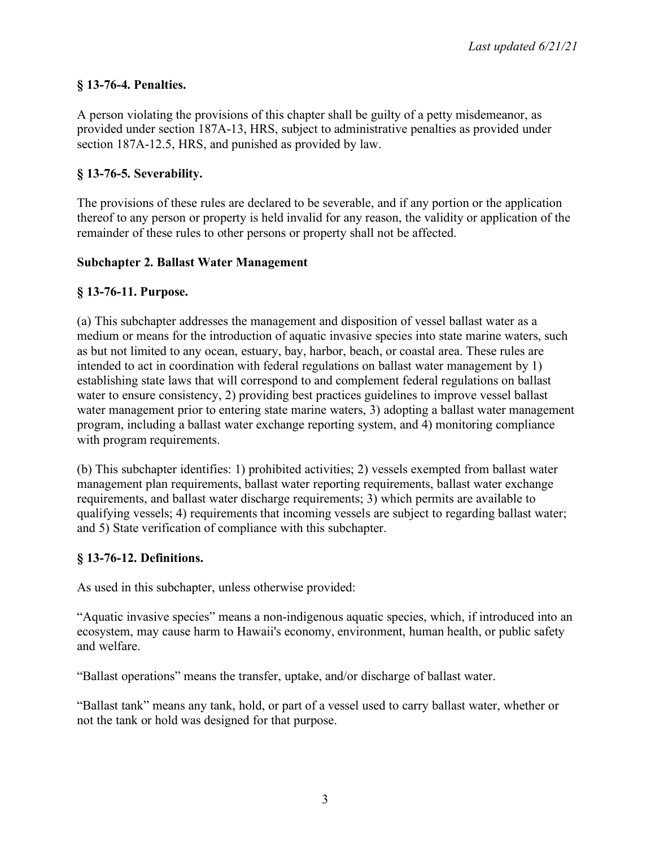# **§ 13-76-4. Penalties.**

A person violating the provisions of this chapter shall be guilty of a petty misdemeanor, as provided under section 187A-13, HRS, subject to administrative penalties as provided under section 187A-12.5, HRS, and punished as provided by law.

## **§ 13-76-5. Severability.**

The provisions of these rules are declared to be severable, and if any portion or the application thereof to any person or property is held invalid for any reason, the validity or application of the remainder of these rules to other persons or property shall not be affected.

## **Subchapter 2. Ballast Water Management**

## **§ 13-76-11. Purpose.**

(a) This subchapter addresses the management and disposition of vessel ballast water as a medium or means for the introduction of aquatic invasive species into state marine waters, such as but not limited to any ocean, estuary, bay, harbor, beach, or coastal area. These rules are intended to act in coordination with federal regulations on ballast water management by 1) establishing state laws that will correspond to and complement federal regulations on ballast water to ensure consistency, 2) providing best practices guidelines to improve vessel ballast water management prior to entering state marine waters, 3) adopting a ballast water management program, including a ballast water exchange reporting system, and 4) monitoring compliance with program requirements.

(b) This subchapter identifies: 1) prohibited activities; 2) vessels exempted from ballast water management plan requirements, ballast water reporting requirements, ballast water exchange requirements, and ballast water discharge requirements; 3) which permits are available to qualifying vessels; 4) requirements that incoming vessels are subject to regarding ballast water; and 5) State verification of compliance with this subchapter.

## **§ 13-76-12. Definitions.**

As used in this subchapter, unless otherwise provided:

"Aquatic invasive species" means a non-indigenous aquatic species, which, if introduced into an ecosystem, may cause harm to Hawaii's economy, environment, human health, or public safety and welfare.

"Ballast operations" means the transfer, uptake, and/or discharge of ballast water.

"Ballast tank" means any tank, hold, or part of a vessel used to carry ballast water, whether or not the tank or hold was designed for that purpose.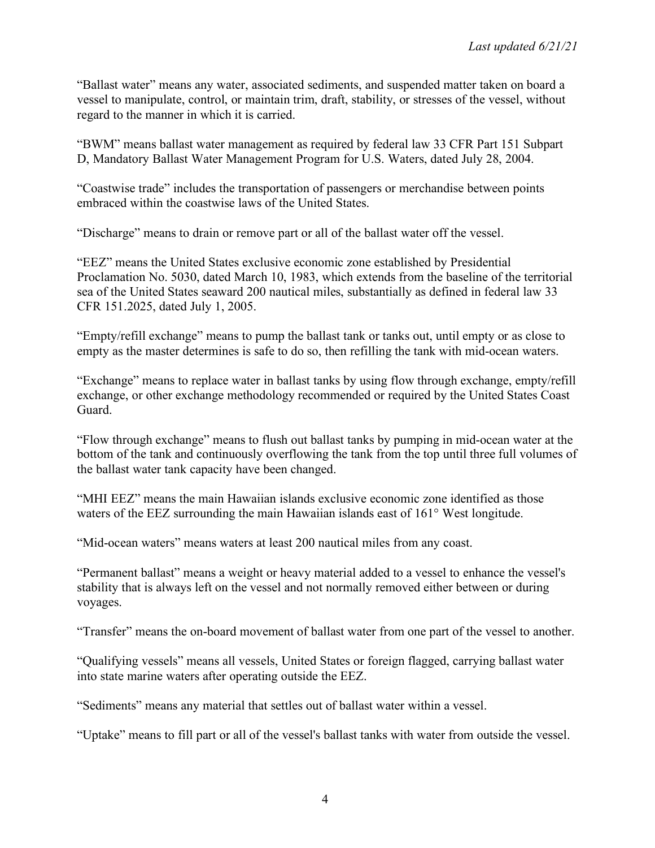"Ballast water" means any water, associated sediments, and suspended matter taken on board a vessel to manipulate, control, or maintain trim, draft, stability, or stresses of the vessel, without regard to the manner in which it is carried.

"BWM" means ballast water management as required by federal law 33 CFR Part 151 Subpart D, Mandatory Ballast Water Management Program for U.S. Waters, dated July 28, 2004.

"Coastwise trade" includes the transportation of passengers or merchandise between points embraced within the coastwise laws of the United States.

"Discharge" means to drain or remove part or all of the ballast water off the vessel.

"EEZ" means the United States exclusive economic zone established by Presidential Proclamation No. 5030, dated March 10, 1983, which extends from the baseline of the territorial sea of the United States seaward 200 nautical miles, substantially as defined in federal law 33 CFR 151.2025, dated July 1, 2005.

"Empty/refill exchange" means to pump the ballast tank or tanks out, until empty or as close to empty as the master determines is safe to do so, then refilling the tank with mid-ocean waters.

"Exchange" means to replace water in ballast tanks by using flow through exchange, empty/refill exchange, or other exchange methodology recommended or required by the United States Coast Guard.

"Flow through exchange" means to flush out ballast tanks by pumping in mid-ocean water at the bottom of the tank and continuously overflowing the tank from the top until three full volumes of the ballast water tank capacity have been changed.

"MHI EEZ" means the main Hawaiian islands exclusive economic zone identified as those waters of the EEZ surrounding the main Hawaiian islands east of 161° West longitude.

"Mid-ocean waters" means waters at least 200 nautical miles from any coast.

"Permanent ballast" means a weight or heavy material added to a vessel to enhance the vessel's stability that is always left on the vessel and not normally removed either between or during voyages.

"Transfer" means the on-board movement of ballast water from one part of the vessel to another.

"Qualifying vessels" means all vessels, United States or foreign flagged, carrying ballast water into state marine waters after operating outside the EEZ.

"Sediments" means any material that settles out of ballast water within a vessel.

"Uptake" means to fill part or all of the vessel's ballast tanks with water from outside the vessel.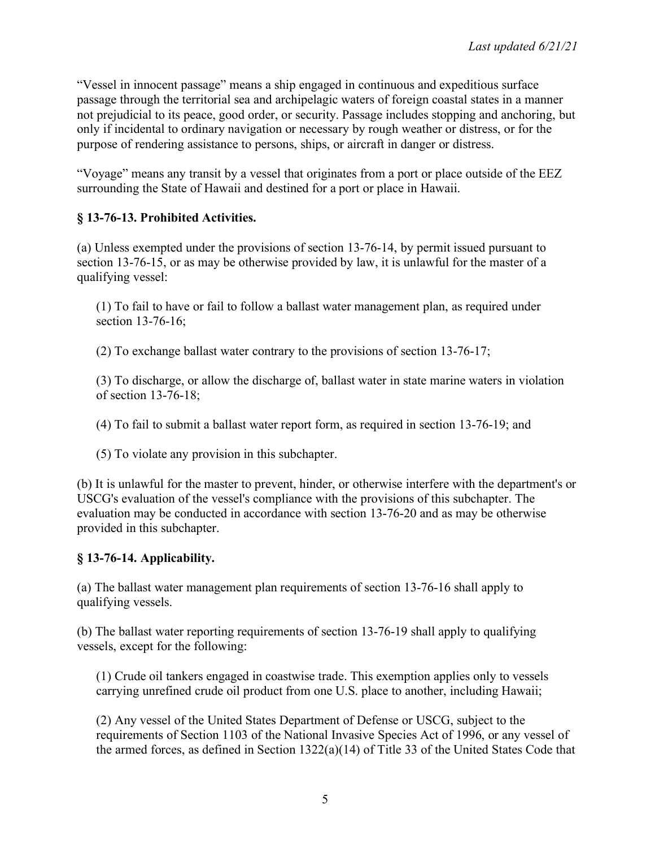"Vessel in innocent passage" means a ship engaged in continuous and expeditious surface passage through the territorial sea and archipelagic waters of foreign coastal states in a manner not prejudicial to its peace, good order, or security. Passage includes stopping and anchoring, but only if incidental to ordinary navigation or necessary by rough weather or distress, or for the purpose of rendering assistance to persons, ships, or aircraft in danger or distress.

"Voyage" means any transit by a vessel that originates from a port or place outside of the EEZ surrounding the State of Hawaii and destined for a port or place in Hawaii.

# **§ 13-76-13. Prohibited Activities.**

(a) Unless exempted under the provisions of section 13-76-14, by permit issued pursuant to section 13-76-15, or as may be otherwise provided by law, it is unlawful for the master of a qualifying vessel:

(1) To fail to have or fail to follow a ballast water management plan, as required under section 13-76-16;

(2) To exchange ballast water contrary to the provisions of section 13-76-17;

(3) To discharge, or allow the discharge of, ballast water in state marine waters in violation of section 13-76-18;

(4) To fail to submit a ballast water report form, as required in section 13-76-19; and

(5) To violate any provision in this subchapter.

(b) It is unlawful for the master to prevent, hinder, or otherwise interfere with the department's or USCG's evaluation of the vessel's compliance with the provisions of this subchapter. The evaluation may be conducted in accordance with section 13-76-20 and as may be otherwise provided in this subchapter.

# **§ 13-76-14. Applicability.**

(a) The ballast water management plan requirements of section 13-76-16 shall apply to qualifying vessels.

(b) The ballast water reporting requirements of section 13-76-19 shall apply to qualifying vessels, except for the following:

(1) Crude oil tankers engaged in coastwise trade. This exemption applies only to vessels carrying unrefined crude oil product from one U.S. place to another, including Hawaii;

(2) Any vessel of the United States Department of Defense or USCG, subject to the requirements of Section 1103 of the National Invasive Species Act of 1996, or any vessel of the armed forces, as defined in Section 1322(a)(14) of Title 33 of the United States Code that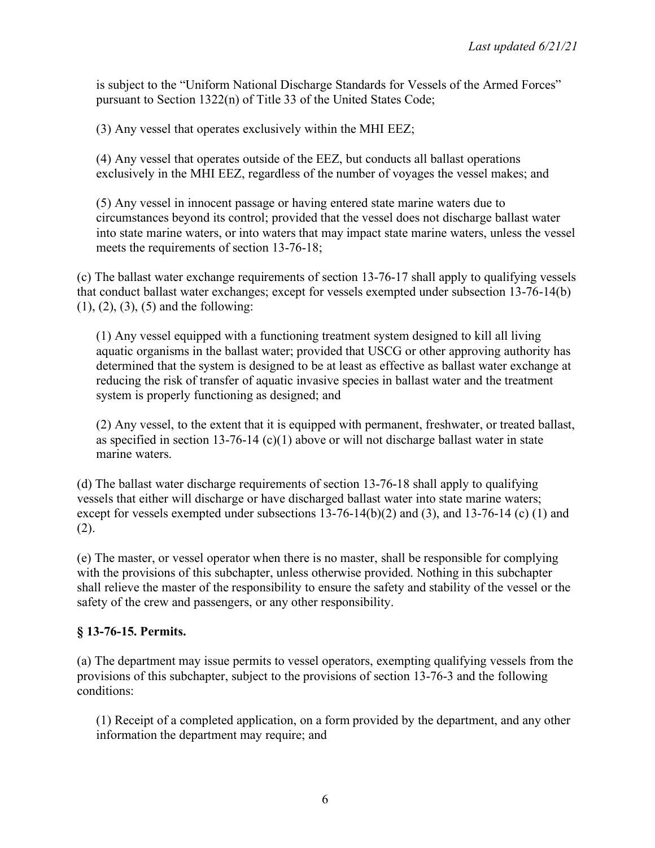is subject to the "Uniform National Discharge Standards for Vessels of the Armed Forces" pursuant to Section 1322(n) of Title 33 of the United States Code;

(3) Any vessel that operates exclusively within the MHI EEZ;

(4) Any vessel that operates outside of the EEZ, but conducts all ballast operations exclusively in the MHI EEZ, regardless of the number of voyages the vessel makes; and

(5) Any vessel in innocent passage or having entered state marine waters due to circumstances beyond its control; provided that the vessel does not discharge ballast water into state marine waters, or into waters that may impact state marine waters, unless the vessel meets the requirements of section 13-76-18;

(c) The ballast water exchange requirements of section 13-76-17 shall apply to qualifying vessels that conduct ballast water exchanges; except for vessels exempted under subsection 13-76-14(b) (1), (2), (3), (5) and the following:

(1) Any vessel equipped with a functioning treatment system designed to kill all living aquatic organisms in the ballast water; provided that USCG or other approving authority has determined that the system is designed to be at least as effective as ballast water exchange at reducing the risk of transfer of aquatic invasive species in ballast water and the treatment system is properly functioning as designed; and

(2) Any vessel, to the extent that it is equipped with permanent, freshwater, or treated ballast, as specified in section 13-76-14  $(c)(1)$  above or will not discharge ballast water in state marine waters.

(d) The ballast water discharge requirements of section 13-76-18 shall apply to qualifying vessels that either will discharge or have discharged ballast water into state marine waters; except for vessels exempted under subsections 13-76-14(b)(2) and (3), and 13-76-14 (c) (1) and (2).

(e) The master, or vessel operator when there is no master, shall be responsible for complying with the provisions of this subchapter, unless otherwise provided. Nothing in this subchapter shall relieve the master of the responsibility to ensure the safety and stability of the vessel or the safety of the crew and passengers, or any other responsibility.

## **§ 13-76-15. Permits.**

(a) The department may issue permits to vessel operators, exempting qualifying vessels from the provisions of this subchapter, subject to the provisions of section 13-76-3 and the following conditions:

(1) Receipt of a completed application, on a form provided by the department, and any other information the department may require; and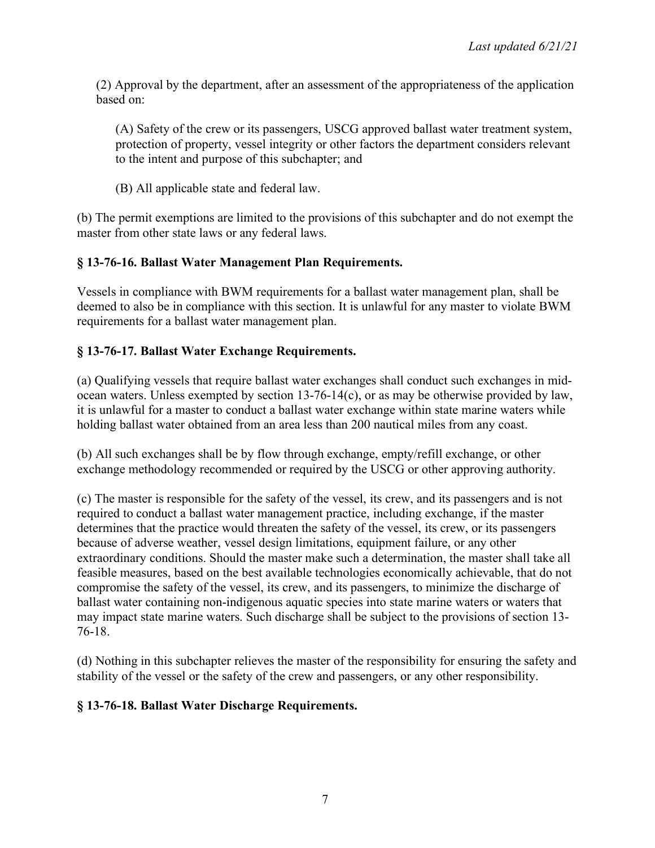(2) Approval by the department, after an assessment of the appropriateness of the application based on:

(A) Safety of the crew or its passengers, USCG approved ballast water treatment system, protection of property, vessel integrity or other factors the department considers relevant to the intent and purpose of this subchapter; and

(B) All applicable state and federal law.

(b) The permit exemptions are limited to the provisions of this subchapter and do not exempt the master from other state laws or any federal laws.

## **§ 13-76-16. Ballast Water Management Plan Requirements.**

Vessels in compliance with BWM requirements for a ballast water management plan, shall be deemed to also be in compliance with this section. It is unlawful for any master to violate BWM requirements for a ballast water management plan.

## **§ 13-76-17. Ballast Water Exchange Requirements.**

(a) Qualifying vessels that require ballast water exchanges shall conduct such exchanges in midocean waters. Unless exempted by section 13-76-14(c), or as may be otherwise provided by law, it is unlawful for a master to conduct a ballast water exchange within state marine waters while holding ballast water obtained from an area less than 200 nautical miles from any coast.

(b) All such exchanges shall be by flow through exchange, empty/refill exchange, or other exchange methodology recommended or required by the USCG or other approving authority.

(c) The master is responsible for the safety of the vessel, its crew, and its passengers and is not required to conduct a ballast water management practice, including exchange, if the master determines that the practice would threaten the safety of the vessel, its crew, or its passengers because of adverse weather, vessel design limitations, equipment failure, or any other extraordinary conditions. Should the master make such a determination, the master shall take all feasible measures, based on the best available technologies economically achievable, that do not compromise the safety of the vessel, its crew, and its passengers, to minimize the discharge of ballast water containing non-indigenous aquatic species into state marine waters or waters that may impact state marine waters. Such discharge shall be subject to the provisions of section 13- 76-18.

(d) Nothing in this subchapter relieves the master of the responsibility for ensuring the safety and stability of the vessel or the safety of the crew and passengers, or any other responsibility.

## **§ 13-76-18. Ballast Water Discharge Requirements.**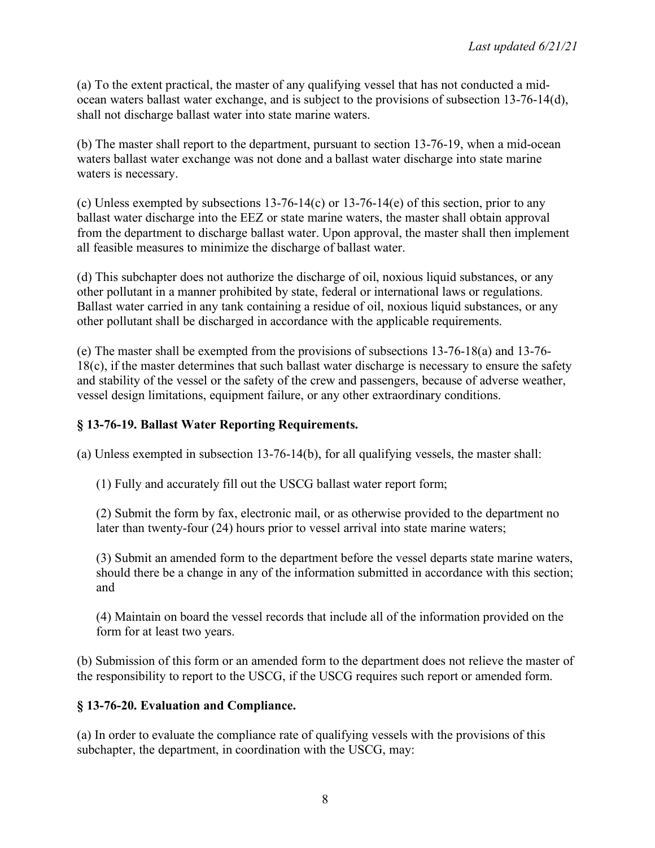(a) To the extent practical, the master of any qualifying vessel that has not conducted a midocean waters ballast water exchange, and is subject to the provisions of subsection 13-76-14(d), shall not discharge ballast water into state marine waters.

(b) The master shall report to the department, pursuant to section 13-76-19, when a mid-ocean waters ballast water exchange was not done and a ballast water discharge into state marine waters is necessary.

(c) Unless exempted by subsections  $13-76-14(c)$  or  $13-76-14(e)$  of this section, prior to any ballast water discharge into the EEZ or state marine waters, the master shall obtain approval from the department to discharge ballast water. Upon approval, the master shall then implement all feasible measures to minimize the discharge of ballast water.

(d) This subchapter does not authorize the discharge of oil, noxious liquid substances, or any other pollutant in a manner prohibited by state, federal or international laws or regulations. Ballast water carried in any tank containing a residue of oil, noxious liquid substances, or any other pollutant shall be discharged in accordance with the applicable requirements.

(e) The master shall be exempted from the provisions of subsections 13-76-18(a) and 13-76- 18(c), if the master determines that such ballast water discharge is necessary to ensure the safety and stability of the vessel or the safety of the crew and passengers, because of adverse weather, vessel design limitations, equipment failure, or any other extraordinary conditions.

## **§ 13-76-19. Ballast Water Reporting Requirements.**

(a) Unless exempted in subsection 13-76-14(b), for all qualifying vessels, the master shall:

(1) Fully and accurately fill out the USCG ballast water report form;

(2) Submit the form by fax, electronic mail, or as otherwise provided to the department no later than twenty-four (24) hours prior to vessel arrival into state marine waters;

(3) Submit an amended form to the department before the vessel departs state marine waters, should there be a change in any of the information submitted in accordance with this section; and

(4) Maintain on board the vessel records that include all of the information provided on the form for at least two years.

(b) Submission of this form or an amended form to the department does not relieve the master of the responsibility to report to the USCG, if the USCG requires such report or amended form.

## **§ 13-76-20. Evaluation and Compliance.**

(a) In order to evaluate the compliance rate of qualifying vessels with the provisions of this subchapter, the department, in coordination with the USCG, may: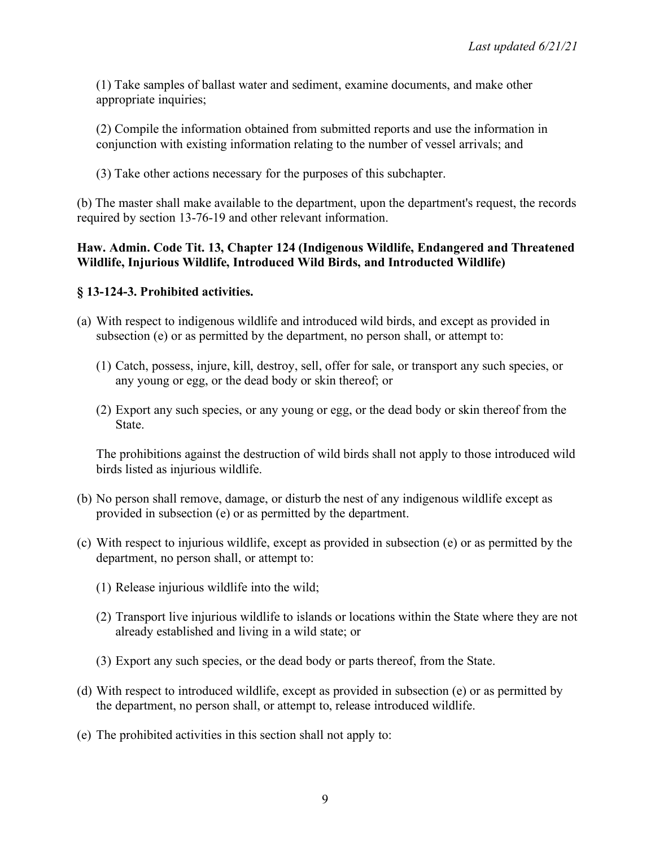(1) Take samples of ballast water and sediment, examine documents, and make other appropriate inquiries;

(2) Compile the information obtained from submitted reports and use the information in conjunction with existing information relating to the number of vessel arrivals; and

(3) Take other actions necessary for the purposes of this subchapter.

(b) The master shall make available to the department, upon the department's request, the records required by section 13-76-19 and other relevant information.

### **Haw. Admin. Code Tit. 13, Chapter 124 (Indigenous Wildlife, Endangered and Threatened Wildlife, Injurious Wildlife, Introduced Wild Birds, and Introducted Wildlife)**

## **§ 13-124-3. Prohibited activities.**

- (a) With respect to indigenous wildlife and introduced wild birds, and except as provided in subsection (e) or as permitted by the department, no person shall, or attempt to:
	- (1) Catch, possess, injure, kill, destroy, sell, offer for sale, or transport any such species, or any young or egg, or the dead body or skin thereof; or
	- (2) Export any such species, or any young or egg, or the dead body or skin thereof from the **State**

The prohibitions against the destruction of wild birds shall not apply to those introduced wild birds listed as injurious wildlife.

- (b) No person shall remove, damage, or disturb the nest of any indigenous wildlife except as provided in subsection (e) or as permitted by the department.
- (c) With respect to injurious wildlife, except as provided in subsection (e) or as permitted by the department, no person shall, or attempt to:
	- (1) Release injurious wildlife into the wild;
	- (2) Transport live injurious wildlife to islands or locations within the State where they are not already established and living in a wild state; or
	- (3) Export any such species, or the dead body or parts thereof, from the State.
- (d) With respect to introduced wildlife, except as provided in subsection (e) or as permitted by the department, no person shall, or attempt to, release introduced wildlife.
- (e) The prohibited activities in this section shall not apply to: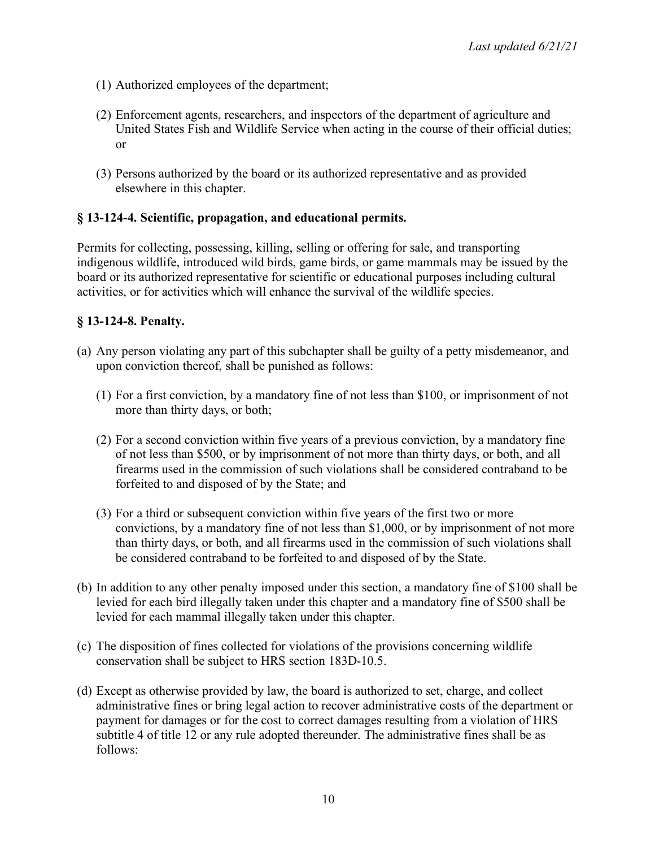- (1) Authorized employees of the department;
- (2) Enforcement agents, researchers, and inspectors of the department of agriculture and United States Fish and Wildlife Service when acting in the course of their official duties; or
- (3) Persons authorized by the board or its authorized representative and as provided elsewhere in this chapter.

#### **§ 13-124-4. Scientific, propagation, and educational permits.**

Permits for collecting, possessing, killing, selling or offering for sale, and transporting indigenous wildlife, introduced wild birds, game birds, or game mammals may be issued by the board or its authorized representative for scientific or educational purposes including cultural activities, or for activities which will enhance the survival of the wildlife species.

#### **§ 13-124-8. Penalty.**

- (a) Any person violating any part of this subchapter shall be guilty of a petty misdemeanor, and upon conviction thereof, shall be punished as follows:
	- (1) For a first conviction, by a mandatory fine of not less than \$100, or imprisonment of not more than thirty days, or both;
	- (2) For a second conviction within five years of a previous conviction, by a mandatory fine of not less than \$500, or by imprisonment of not more than thirty days, or both, and all firearms used in the commission of such violations shall be considered contraband to be forfeited to and disposed of by the State; and
	- (3) For a third or subsequent conviction within five years of the first two or more convictions, by a mandatory fine of not less than \$1,000, or by imprisonment of not more than thirty days, or both, and all firearms used in the commission of such violations shall be considered contraband to be forfeited to and disposed of by the State.
- (b) In addition to any other penalty imposed under this section, a mandatory fine of \$100 shall be levied for each bird illegally taken under this chapter and a mandatory fine of \$500 shall be levied for each mammal illegally taken under this chapter.
- (c) The disposition of fines collected for violations of the provisions concerning wildlife conservation shall be subject to HRS section 183D-10.5.
- (d) Except as otherwise provided by law, the board is authorized to set, charge, and collect administrative fines or bring legal action to recover administrative costs of the department or payment for damages or for the cost to correct damages resulting from a violation of HRS subtitle 4 of title 12 or any rule adopted thereunder. The administrative fines shall be as follows: